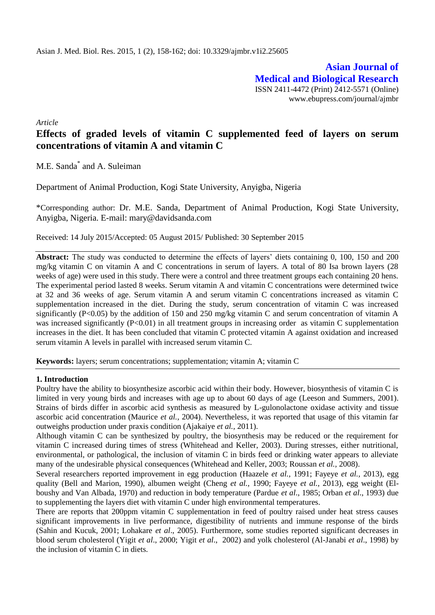**Asian Journal of Medical and Biological Research** ISSN 2411-4472 (Print) 2412-5571 (Online) www.ebupress.com/journal/ajmbr

*Article*

# **Effects of graded levels of vitamin C supplemented feed of layers on serum concentrations of vitamin A and vitamin C**

M.E. Sanda\* and A. Suleiman

Department of Animal Production, Kogi State University, Anyigba, Nigeria

\*Corresponding author: Dr. M.E. Sanda, Department of Animal Production, Kogi State University, Anyigba, Nigeria. E-mail: [mary@davidsanda.com](mailto:mary@davidsanda.com)

Received: 14 July 2015/Accepted: 05 August 2015/ Published: 30 September 2015

Abstract: The study was conducted to determine the effects of layers' diets containing 0, 100, 150 and 200 mg/kg vitamin C on vitamin A and C concentrations in serum of layers. A total of 80 Isa brown layers (28 weeks of age) were used in this study. There were a control and three treatment groups each containing 20 hens. The experimental period lasted 8 weeks. Serum vitamin A and vitamin C concentrations were determined twice at 32 and 36 weeks of age. Serum vitamin A and serum vitamin C concentrations increased as vitamin C supplementation increased in the diet. During the study, serum concentration of vitamin C was increased significantly (P<0.05) by the addition of 150 and 250 mg/kg vitamin C and serum concentration of vitamin A was increased significantly (P<0.01) in all treatment groups in increasing order as vitamin C supplementation increases in the diet. It has been concluded that vitamin C protected vitamin A against oxidation and increased serum vitamin A levels in parallel with increased serum vitamin C.

**Keywords:** layers; serum concentrations; supplementation; vitamin A; vitamin C

## **1. Introduction**

Poultry have the ability to biosynthesize ascorbic acid within their body. However, biosynthesis of vitamin C is limited in very young birds and increases with age up to about 60 days of age (Leeson and Summers, 2001). Strains of birds differ in ascorbic acid synthesis as measured by L-gulonolactone oxidase activity and tissue ascorbic acid concentration (Maurice *et al.,* 2004). Nevertheless, it was reported that usage of this vitamin far outweighs production under praxis condition (Ajakaiye *et al.,* 2011).

Although vitamin C can be synthesized by poultry, the biosynthesis may be reduced or the requirement for vitamin C increased during times of stress (Whitehead and Keller, 2003). During stresses, either nutritional, environmental, or pathological, the inclusion of vitamin C in birds feed or drinking water appears to alleviate many of the undesirable physical consequences (Whitehead and Keller, 2003; Roussan *et al.,* 2008).

Several researchers reported improvement in egg production (Haazele *et al.,* 1991; Fayeye *et al.,* 2013), egg quality (Bell and Marion, 1990), albumen weight (Cheng *et al.,* 1990; Fayeye *et al.,* 2013), egg weight (Elboushy and Van Albada, 1970) and reduction in body temperature (Pardue *et al*., 1985; Orban *et al*., 1993) due to supplementing the layers diet with vitamin C under high environmental temperatures.

There are reports that 200ppm vitamin C supplementation in feed of poultry raised under heat stress causes significant improvements in live performance, digestibility of nutrients and immune response of the birds (Sahin and Kucuk, 2001; Lohakare *et al*., 2005). Furthermore, some studies reported significant decreases in blood serum cholesterol (Yigit *et al*., 2000; Yigit *et al*., 2002) and yolk cholesterol (Al-Janabi *et al*., 1998) by the inclusion of vitamin C in diets.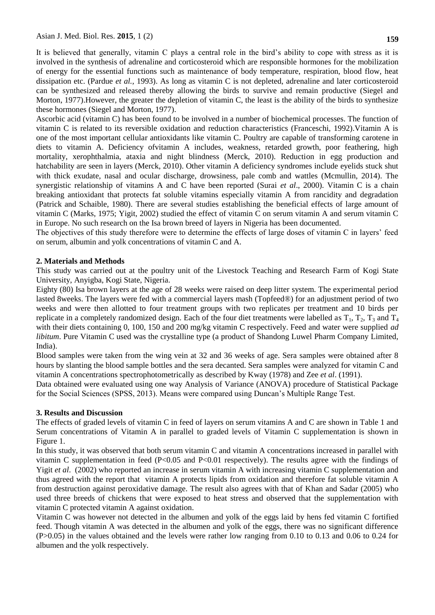Asian J. Med. Biol. Res. **2015**, 1 (2) **159**

It is believed that generally, vitamin C plays a central role in the bird"s ability to cope with stress as it is involved in the synthesis of adrenaline and corticosteroid which are responsible hormones for the mobilization of energy for the essential functions such as maintenance of body temperature, respiration, blood flow, heat dissipation etc. (Pardue *et al.,* 1993). As long as vitamin C is not depleted, adrenaline and later corticosteroid can be synthesized and released thereby allowing the birds to survive and remain productive (Siegel and Morton, 1977).However, the greater the depletion of vitamin C, the least is the ability of the birds to synthesize these hormones (Siegel and Morton, 1977).

Ascorbic acid (vitamin C) has been found to be involved in a number of biochemical processes. The function of vitamin C is related to its reversible oxidation and reduction characteristics (Franceschi, 1992).Vitamin A is one of the most important cellular antioxidants like vitamin C. Poultry are capable of transforming carotene in diets to vitamin A. Deficiency ofvitamin A includes, weakness, retarded growth, poor feathering, high mortality, xerophthalmia, ataxia and night blindness (Merck, 2010). Reduction in egg production and hatchability are seen in layers (Merck, 2010). Other vitamin A deficiency syndromes include eyelids stuck shut with thick exudate, nasal and ocular discharge, drowsiness, pale comb and wattles (Mcmullin, 2014). The synergistic relationship of vitamins A and C have been reported (Surai *et al*., 2000). Vitamin C is a chain breaking antioxidant that protects fat soluble vitamins especially vitamin A from rancidity and degradation (Patrick and Schaible, 1980). There are several studies establishing the beneficial effects of large amount of vitamin C (Marks, 1975; Yigit, 2002) studied the effect of vitamin C on serum vitamin A and serum vitamin C in Europe. No such research on the Isa brown breed of layers in Nigeria has been documented.

The objectives of this study therefore were to determine the effects of large doses of vitamin C in layers" feed on serum, albumin and yolk concentrations of vitamin C and A.

# **2. Materials and Methods**

This study was carried out at the poultry unit of the Livestock Teaching and Research Farm of Kogi State University, Anyigba, Kogi State, Nigeria.

Eighty (80) Isa brown layers at the age of 28 weeks were raised on deep litter system. The experimental period lasted 8weeks. The layers were fed with a commercial layers mash (Topfeed®) for an adjustment period of two weeks and were then allotted to four treatment groups with two replicates per treatment and 10 birds per replicate in a completely randomized design. Each of the four diet treatments were labelled as  $T_1$ ,  $T_2$ ,  $T_3$  and  $T_4$ with their diets containing 0, 100, 150 and 200 mg/kg vitamin C respectively. Feed and water were supplied *ad libitum*. Pure Vitamin C used was the crystalline type (a product of Shandong Luwel Pharm Company Limited, India).

Blood samples were taken from the wing vein at 32 and 36 weeks of age. Sera samples were obtained after 8 hours by slanting the blood sample bottles and the sera decanted. Sera samples were analyzed for vitamin C and vitamin A concentrations spectrophotometrically as described by Kway (1978) and Zee *et al*. (1991).

Data obtained were evaluated using one way Analysis of Variance (ANOVA) procedure of Statistical Package for the Social Sciences (SPSS, 2013). Means were compared using Duncan"s Multiple Range Test.

# **3. Results and Discussion**

The effects of graded levels of vitamin C in feed of layers on serum vitamins A and C are shown in Table 1 and Serum concentrations of Vitamin A in parallel to graded levels of Vitamin C supplementation is shown in Figure 1.

In this study, it was observed that both serum vitamin C and vitamin A concentrations increased in parallel with vitamin C supplementation in feed (P<0.05 and P<0.01 respectively). The results agree with the findings of Yigit *et al.* (2002) who reported an increase in serum vitamin A with increasing vitamin C supplementation and thus agreed with the report that vitamin A protects lipids from oxidation and therefore fat soluble vitamin A from destruction against peroxidative damage. The result also agrees with that of Khan and Sadar (2005) who used three breeds of chickens that were exposed to heat stress and observed that the supplementation with vitamin C protected vitamin A against oxidation.

Vitamin C was however not detected in the albumen and yolk of the eggs laid by hens fed vitamin C fortified feed. Though vitamin A was detected in the albumen and yolk of the eggs, there was no significant difference (P>0.05) in the values obtained and the levels were rather low ranging from 0.10 to 0.13 and 0.06 to 0.24 for albumen and the yolk respectively.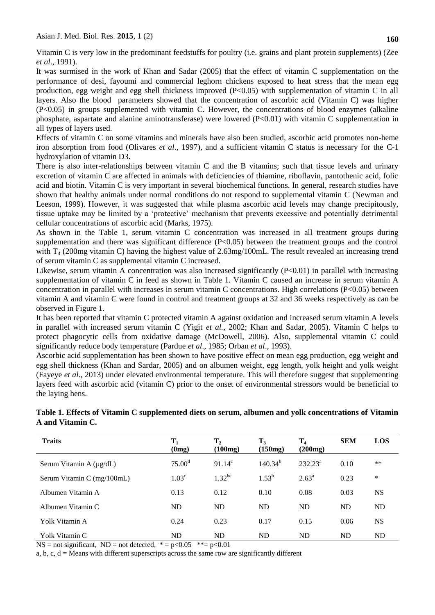Vitamin C is very low in the predominant feedstuffs for poultry (i.e. grains and plant protein supplements) (Zee *et al*., 1991).

It was surmised in the work of Khan and Sadar (2005) that the effect of vitamin C supplementation on the performance of desi, fayoumi and commercial leghorn chickens exposed to heat stress that the mean egg production, egg weight and egg shell thickness improved (P<0.05) with supplementation of vitamin C in all layers. Also the blood parameters showed that the concentration of ascorbic acid (Vitamin C) was higher (P<0.05) in groups supplemented with vitamin C. However, the concentrations of blood enzymes (alkaline phosphate, aspartate and alanine aminotransferase) were lowered (P<0.01) with vitamin C supplementation in all types of layers used.

Effects of vitamin C on some vitamins and minerals have also been studied, ascorbic acid promotes non-heme iron absorption from food (Olivares *et al*., 1997), and a sufficient vitamin C status is necessary for the C-1 hydroxylation of vitamin D3.

There is also inter-relationships between vitamin C and the B vitamins; such that tissue levels and urinary excretion of vitamin C are affected in animals with deficiencies of thiamine, riboflavin, pantothenic acid, folic acid and biotin. Vitamin C is very important in several biochemical functions. In general, research studies have shown that healthy animals under normal conditions do not respond to supplemental vitamin C (Newman and Leeson, 1999). However, it was suggested that while plasma ascorbic acid levels may change precipitously, tissue uptake may be limited by a "protective" mechanism that prevents excessive and potentially detrimental cellular concentrations of ascorbic acid (Marks, 1975).

As shown in the Table 1, serum vitamin C concentration was increased in all treatment groups during supplementation and there was significant difference  $(P<0.05)$  between the treatment groups and the control with T<sub>4</sub> (200mg vitamin C) having the highest value of 2.63mg/100mL. The result revealed an increasing trend of serum vitamin C as supplemental vitamin C increased.

Likewise, serum vitamin A concentration was also increased significantly (P<0.01) in parallel with increasing supplementation of vitamin C in feed as shown in Table 1. Vitamin C caused an increase in serum vitamin A concentration in parallel with increases in serum vitamin C concentrations. High correlations (P<0.05) between vitamin A and vitamin C were found in control and treatment groups at 32 and 36 weeks respectively as can be observed in Figure 1.

It has been reported that vitamin C protected vitamin A against oxidation and increased serum vitamin A levels in parallel with increased serum vitamin C (Yigit *et al.,* 2002; Khan and Sadar, 2005). Vitamin C helps to protect phagocytic cells from oxidative damage (McDowell, 2006). Also, supplemental vitamin C could significantly reduce body temperature (Pardue *et al*., 1985; Orban *et al*., 1993).

Ascorbic acid supplementation has been shown to have positive effect on mean egg production, egg weight and egg shell thickness (Khan and Sardar, 2005) and on albumen weight, egg length, yolk height and yolk weight (Fayeye *et al*., 2013) under elevated environmental temperature. This will therefore suggest that supplementing layers feed with ascorbic acid (vitamin C) prior to the onset of environmental stressors would be beneficial to the laying hens.

| Table 1. Effects of Vitamin C supplemented diets on serum, albumen and yolk concentrations of Vitamin |  |
|-------------------------------------------------------------------------------------------------------|--|
| A and Vitamin C.                                                                                      |  |

| <b>Traits</b>                | $T_1$<br>(0mg)     | $\mathbf{T}_2$<br>(100mg) | $T_3$<br>(150mg) | $T_4$<br>(200mg) | <b>SEM</b> | <b>LOS</b> |
|------------------------------|--------------------|---------------------------|------------------|------------------|------------|------------|
| Serum Vitamin A $(\mu g/dL)$ | 75.00 <sup>d</sup> | $91.14^c$                 | $140.34^{b}$     | $232.23^a$       | 0.10       | $**$       |
| Serum Vitamin C (mg/100mL)   | 1.03 <sup>c</sup>  | $1.32^{bc}$               | $1.53^{b}$       | $2.63^{\circ}$   | 0.23       | *          |
| Albumen Vitamin A            | 0.13               | 0.12                      | 0.10             | 0.08             | 0.03       | <b>NS</b>  |
| Albumen Vitamin C            | <b>ND</b>          | ND                        | ND               | <b>ND</b>        | <b>ND</b>  | ND         |
| Yolk Vitamin A               | 0.24               | 0.23                      | 0.17             | 0.15             | 0.06       | <b>NS</b>  |
| Yolk Vitamin C               | ND                 | ND                        | <b>ND</b>        | <b>ND</b>        | ND         | ND         |

 $NS = not significant$ ,  $ND = not detected$ ,  $* = p<0.05$ ,  $** = p<0.01$ 

a, b, c,  $d =$  Means with different superscripts across the same row are significantly different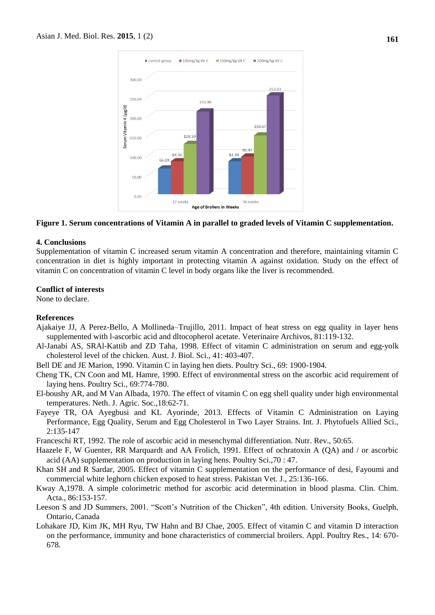

#### **Figure 1. Serum concentrations of Vitamin A in parallel to graded levels of Vitamin C supplementation.**

#### **4. Conclusions**

Supplementation of vitamin C increased serum vitamin A concentration and therefore, maintaining vitamin C concentration in diet is highly important in protecting vitamin A against oxidation. Study on the effect of vitamin C on concentration of vitamin C level in body organs like the liver is recommended.

#### **Conflict of interests**

None to declare.

### **References**

- Ajakaiye JJ, A Perez-Bello, A Mollineda–Trujillo, 2011. Impact of heat stress on egg quality in layer hens supplemented with l-ascorbic acid and dltocopherol acetate. Veterinaire Archivos, 81:119-132.
- Al-Janabi AS, SRAl-Kattib and ZD Taha, 1998. Effect of vitamin C administration on serum and egg-yolk cholesterol level of the chicken*.* Aust. J. Biol. Sci., 41: 403-407.
- Bell DE and JE Marion, 1990. Vitamin C in laying hen diets. Poultry Sci., 69: 1900-1904.
- Cheng TK, CN Coon and ML Hamre, 1990. Effect of environmental stress on the ascorbic acid requirement of laying hens. Poultry Sci., 69:774-780.
- El-boushy AR, and M Van Albada, 1970. The effect of vitamin C on egg shell quality under high environmental temperatures. Neth. J. Agric. Soc.,18:62-71.
- Fayeye TR, OA Ayegbusi and KL Ayorinde, 2013. Effects of Vitamin C Administration on Laying Performance, Egg Quality, Serum and Egg Cholesterol in Two Layer Strains. Int. J. Phytofuels Allied Sci., 2:135-147
- Franceschi RT, 1992. The role of ascorbic acid in mesenchymal differentiation. Nutr. Rev., 50:65.
- Haazele F, W Guenter, RR Marquardt and AA Frolich, 1991. Effect of ochratoxin A (QA) and / or ascorbic acid (AA) supplementation on production in laying hens. Poultry Sci.,70 : 47.
- Khan SH and R Sardar, 2005. Effect of vitamin C supplementation on the performance of desi, Fayoumi and commercial white leghorn chicken exposed to heat stress. Pakistan Vet. J., 25:136-166.
- Kway A,1978. A simple colorimetric method for ascorbic acid determination in blood plasma. Clin. Chim. Acta., 86:153-157.
- Leeson S and JD Summers, 2001. "Scott's Nutrition of the Chicken", 4th edition. University Books, Guelph, Ontario, Canada
- Lohakare JD, Kim JK, MH Ryu, TW Hahn and BJ Chae, 2005. Effect of vitamin C and vitamin D interaction on the performance, immunity and bone characteristics of commercial broilers. Appl. Poultry Res., 14: 670- 678.